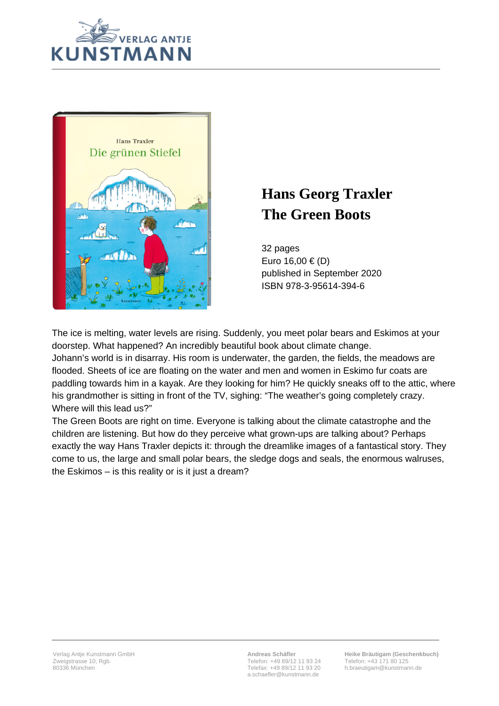



## **Hans Georg Traxler The Green Boots**

32 pages Euro 16,00 € (D) published in September 2020 ISBN 978-3-95614-394-6

The ice is melting, water levels are rising. Suddenly, you meet polar bears and Eskimos at your doorstep. What happened? An incredibly beautiful book about climate change. Johann's world is in disarray. His room is underwater, the garden, the fields, the meadows are flooded. Sheets of ice are floating on the water and men and women in Eskimo fur coats are paddling towards him in a kayak. Are they looking for him? He quickly sneaks off to the attic, where his grandmother is sitting in front of the TV, sighing: "The weather's going completely crazy. Where will this lead us?"

The Green Boots are right on time. Everyone is talking about the climate catastrophe and the children are listening. But how do they perceive what grown-ups are talking about? Perhaps exactly the way Hans Traxler depicts it: through the dreamlike images of a fantastical story. They come to us, the large and small polar bears, the sledge dogs and seals, the enormous walruses, the Eskimos – is this reality or is it just a dream?